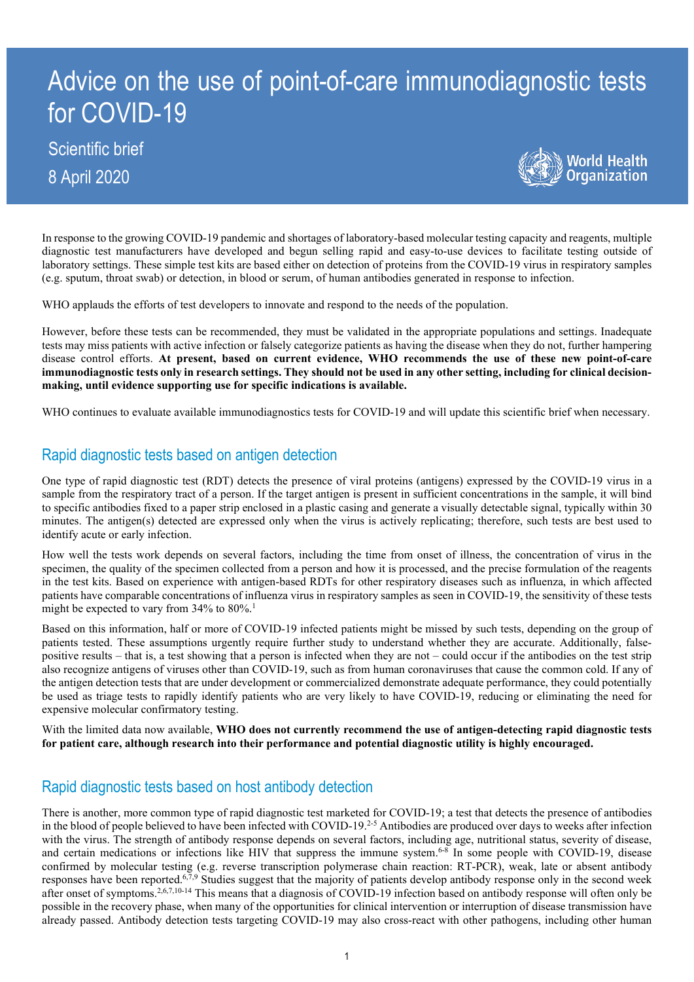# Advice on the use of point-of-care immunodiagnostic tests for COVID-19

# Scientific brief 8 April 2020



In response to the growing COVID-19 pandemic and shortages of laboratory-based molecular testing capacity and reagents, multiple diagnostic test manufacturers have developed and begun selling rapid and easy-to-use devices to facilitate testing outside of laboratory settings. These simple test kits are based either on detection of proteins from the COVID-19 virus in respiratory samples (e.g. sputum, throat swab) or detection, in blood or serum, of human antibodies generated in response to infection.

WHO applauds the efforts of test developers to innovate and respond to the needs of the population.

However, before these tests can be recommended, they must be validated in the appropriate populations and settings. Inadequate tests may miss patients with active infection or falsely categorize patients as having the disease when they do not, further hampering disease control efforts. **At present, based on current evidence, WHO recommends the use of these new point-of-care immunodiagnostic tests only in research settings. They should not be used in any other setting, including for clinical decisionmaking, until evidence supporting use for specific indications is available.**

WHO continues to evaluate available immunodiagnostics tests for COVID-19 and will update this scientific brief when necessary.

### Rapid diagnostic tests based on antigen detection

One type of rapid diagnostic test (RDT) detects the presence of viral proteins (antigens) expressed by the COVID-19 virus in a sample from the respiratory tract of a person. If the target antigen is present in sufficient concentrations in the sample, it will bind to specific antibodies fixed to a paper strip enclosed in a plastic casing and generate a visually detectable signal, typically within 30 minutes. The antigen(s) detected are expressed only when the virus is actively replicating; therefore, such tests are best used to identify acute or early infection.

How well the tests work depends on several factors, including the time from onset of illness, the concentration of virus in the specimen, the quality of the specimen collected from a person and how it is processed, and the precise formulation of the reagents in the test kits. Based on experience with antigen-based RDTs for other respiratory diseases such as influenza, in which affected patients have comparable concentrations of influenza virus in respiratory samples as seen in COVID-19, the sensitivity of these tests might be expected to vary from 34% to 80%. 1

Based on this information, half or more of COVID-19 infected patients might be missed by such tests, depending on the group of patients tested. These assumptions urgently require further study to understand whether they are accurate. Additionally, falsepositive results – that is, a test showing that a person is infected when they are not – could occur if the antibodies on the test strip also recognize antigens of viruses other than COVID-19, such as from human coronaviruses that cause the common cold. If any of the antigen detection tests that are under development or commercialized demonstrate adequate performance, they could potentially be used as triage tests to rapidly identify patients who are very likely to have COVID-19, reducing or eliminating the need for expensive molecular confirmatory testing.

With the limited data now available, **WHO does not currently recommend the use of antigen-detecting rapid diagnostic tests for patient care, although research into their performance and potential diagnostic utility is highly encouraged.**

## Rapid diagnostic tests based on host antibody detection

There is another, more common type of rapid diagnostic test marketed for COVID-19; a test that detects the presence of antibodies in the blood of people believed to have been infected with COVID-19.<sup>2-5</sup> Antibodies are produced over days to weeks after infection with the virus. The strength of antibody response depends on several factors, including age, nutritional status, severity of disease, and certain medications or infections like HIV that suppress the immune system.<sup>6-8</sup> In some people with COVID-19, disease confirmed by molecular testing (e.g. reverse transcription polymerase chain reaction: RT-PCR), weak, late or absent antibody responses have been reported.<sup>6,7,9</sup> Studies suggest that the majority of patients develop antibody response only in the second week after onset of symptoms.<sup>2,6,7,10-14</sup> This means that a diagnosis of COVID-19 infection based on antibody response will often only be possible in the recovery phase, when many of the opportunities for clinical intervention or interruption of disease transmission have already passed. Antibody detection tests targeting COVID-19 may also cross-react with other pathogens, including other human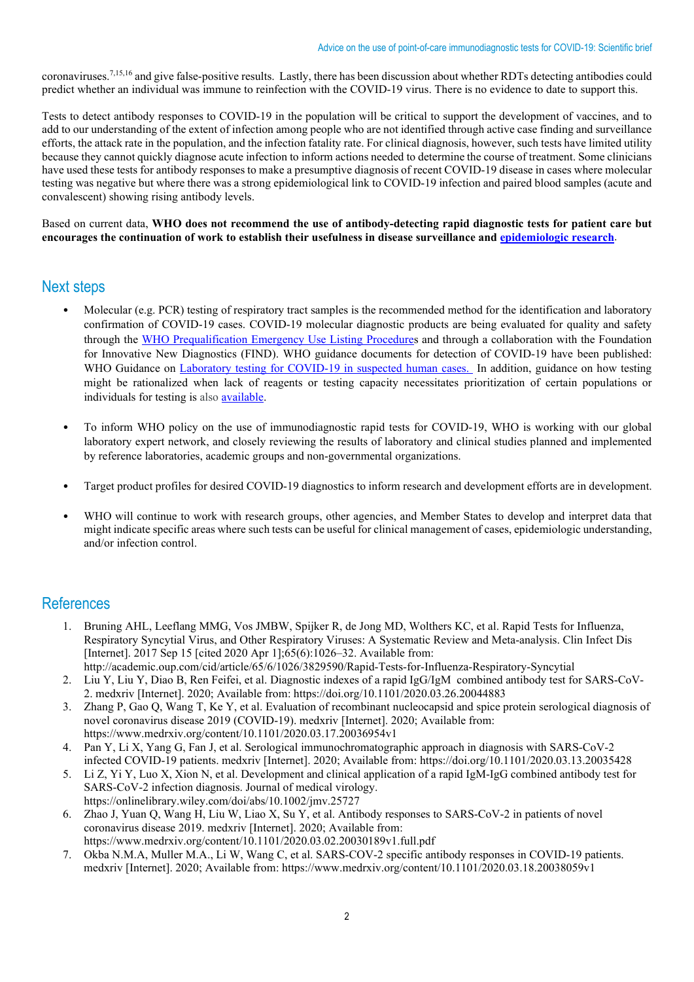coronaviruses. 7,15,16 and give false-positive results. Lastly, there has been discussion about whether RDTs detecting antibodies could predict whether an individual was immune to reinfection with the COVID-19 virus. There is no evidence to date to support this.

Tests to detect antibody responses to COVID-19 in the population will be critical to support the development of vaccines, and to add to our understanding of the extent of infection among people who are not identified through active case finding and surveillance efforts, the attack rate in the population, and the infection fatality rate. For clinical diagnosis, however, such tests have limited utility because they cannot quickly diagnose acute infection to inform actions needed to determine the course of treatment. Some clinicians have used these tests for antibody responses to make a presumptive diagnosis of recent COVID-19 disease in cases where molecular testing was negative but where there was a strong epidemiological link to COVID-19 infection and paired blood samples (acute and convalescent) showing rising antibody levels.

Based on current data, **WHO does not recommend the use of antibody-detecting rapid diagnostic tests for patient care but encourages the continuation of work to establish their usefulness in disease surveillance and [epidemiologic research](https://www.who.int/emergencies/diseases/novel-coronavirus-2019/technical-guidance/early-investigations)**.

#### Next steps

- Molecular (e.g. PCR) testing of respiratory tract samples is the recommended method for the identification and laboratory confirmation of COVID-19 cases. COVID-19 molecular diagnostic products are being evaluated for quality and safety through the [WHO Prequalification Emergency Use Listing Procedures](https://www.who.int/diagnostics_laboratory/EUL/en/) and through a collaboration with the Foundation for Innovative New Diagnostics (FIND). WHO guidance documents for detection of COVID-19 have been published: WHO Guidance on [Laboratory testing for COVID-19 in suspected human cases.](https://www.who.int/emergencies/diseases/novel-coronavirus-2019/technical-guidance/laboratory-guidance) In addition, guidance on how testing might be rationalized when lack of reagents or testing capacity necessitates prioritization of certain populations or individuals for testing is also [available.](https://apps.who.int/iris/bitstream/handle/10665/331509/WHO-COVID-19-lab_testing-2020.1-eng.pdf)
- To inform WHO policy on the use of immunodiagnostic rapid tests for COVID-19, WHO is working with our global laboratory expert network, and closely reviewing the results of laboratory and clinical studies planned and implemented by reference laboratories, academic groups and non-governmental organizations.
- Target product profiles for desired COVID-19 diagnostics to inform research and development efforts are in development.
- WHO will continue to work with research groups, other agencies, and Member States to develop and interpret data that might indicate specific areas where such tests can be useful for clinical management of cases, epidemiologic understanding, and/or infection control.

#### **References**

- 1. Bruning AHL, Leeflang MMG, Vos JMBW, Spijker R, de Jong MD, Wolthers KC, et al. Rapid Tests for Influenza, Respiratory Syncytial Virus, and Other Respiratory Viruses: A Systematic Review and Meta-analysis. Clin Infect Dis [Internet]. 2017 Sep 15 [cited 2020 Apr 1];65(6):1026–32. Available from: http://academic.oup.com/cid/article/65/6/1026/3829590/Rapid-Tests-for-Influenza-Respiratory-Syncytial
- 2. Liu Y, Liu Y, Diao B, Ren Feifei, et al. Diagnostic indexes of a rapid IgG/IgM combined antibody test for SARS-CoV-2. medxriv [Internet]. 2020; Available from: https://doi.org/10.1101/2020.03.26.20044883
- 3. Zhang P, Gao Q, Wang T, Ke Y, et al. Evaluation of recombinant nucleocapsid and spice protein serological diagnosis of novel coronavirus disease 2019 (COVID-19). medxriv [Internet]. 2020; Available from: https://www.medrxiv.org/content/10.1101/2020.03.17.20036954v1
- 4. Pan Y, Li X, Yang G, Fan J, et al. Serological immunochromatographic approach in diagnosis with SARS-CoV-2 infected COVID-19 patients. medxriv [Internet]. 2020; Available from: https://doi.org/10.1101/2020.03.13.20035428
- 5. Li Z, Yi Y, Luo X, Xion N, et al. Development and clinical application of a rapid IgM-IgG combined antibody test for SARS-CoV-2 infection diagnosis. Journal of medical virology. https://onlinelibrary.wiley.com/doi/abs/10.1002/jmv.25727
- 6. Zhao J, Yuan Q, Wang H, Liu W, Liao X, Su Y, et al. Antibody responses to SARS-CoV-2 in patients of novel coronavirus disease 2019. medxriv [Internet]. 2020; Available from: https://www.medrxiv.org/content/10.1101/2020.03.02.20030189v1.full.pdf
- 7. Okba N.M.A, Muller M.A., Li W, Wang C, et al. SARS-COV-2 specific antibody responses in COVID-19 patients. medxriv [Internet]. 2020; Available from: https://www.medrxiv.org/content/10.1101/2020.03.18.20038059v1